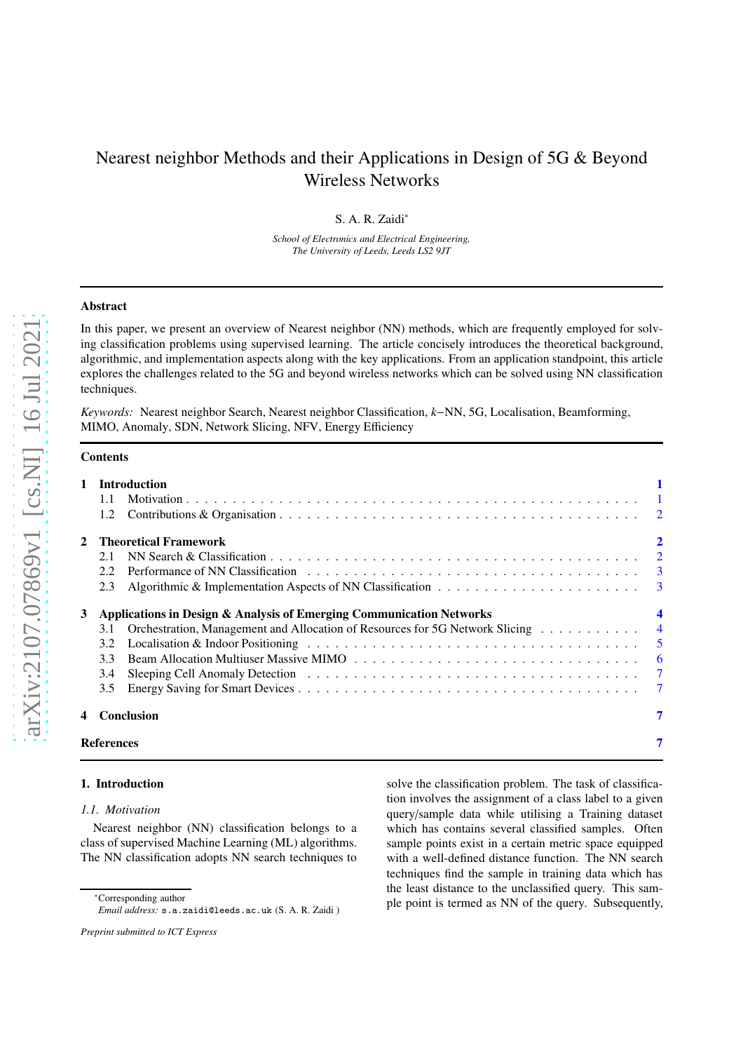# Nearest neighbor Methods and their Applications in Design of 5G & Beyond Wireless Networks

S. A. R. Zaidi<sup>∗</sup>

*School of Electronics and Electrical Engineering, The University of Leeds, Leeds LS2 9JT*

## Abstract

In this paper, we present an overview of Nearest neighbor (NN) methods, which are frequently employed for solving classification problems using supervised learning. The article concisely introduces the theoretical background, algorithmic, and implementation aspects along with the key applications. From an application standpoint, this article explores the challenges related to the 5G and beyond wireless networks which can be solved using NN classification techniques.

*Keywords:* Nearest neighbor Search, Nearest neighbor Classification, *k*−NN, 5G, Localisation, Beamforming, MIMO, Anomaly, SDN, Network Slicing, NFV, Energy Efficiency

# **Contents**

|   |                 | 1 Introduction                                                                 |                         |  |  |
|---|-----------------|--------------------------------------------------------------------------------|-------------------------|--|--|
|   | 1.1             |                                                                                |                         |  |  |
|   |                 |                                                                                |                         |  |  |
|   |                 | 2    Theoretical Framework                                                     | $\overline{\mathbf{2}}$ |  |  |
|   | 2.1             |                                                                                |                         |  |  |
|   | 2.2             |                                                                                |                         |  |  |
|   | 2.3             |                                                                                |                         |  |  |
| 3 |                 | Applications in Design & Analysis of Emerging Communication Networks           | 4                       |  |  |
|   | 3.1             | Orchestration, Management and Allocation of Resources for 5G Network Slicing 4 |                         |  |  |
|   | 3.2             |                                                                                |                         |  |  |
|   | 3.3             |                                                                                |                         |  |  |
|   | 3.4             |                                                                                |                         |  |  |
|   | $3.5^{\circ}$   |                                                                                | -7                      |  |  |
|   |                 | 4 Conclusion                                                                   | 7                       |  |  |
|   | 7<br>References |                                                                                |                         |  |  |

#### <span id="page-0-1"></span><span id="page-0-0"></span>1. Introduction

#### *1.1. Motivation*

Nearest neighbor (NN) classification belongs to a class of supervised Machine Learning (ML) algorithms. The NN classification adopts NN search techniques to

<sup>∗</sup>Corresponding author *Email address:* s.a.zaidi@leeds.ac.uk (S. A. R. Zaidi )

*Preprint submitted to ICT Express*

solve the classification problem. The task of classification involves the assignment of a class label to a given query/sample data while utilising a Training dataset which has contains several classified samples. Often sample points exist in a certain metric space equipped with a well-defined distance function. The NN search techniques find the sample in training data which has the least distance to the unclassified query. This sample point is termed as NN of the query. Subsequently,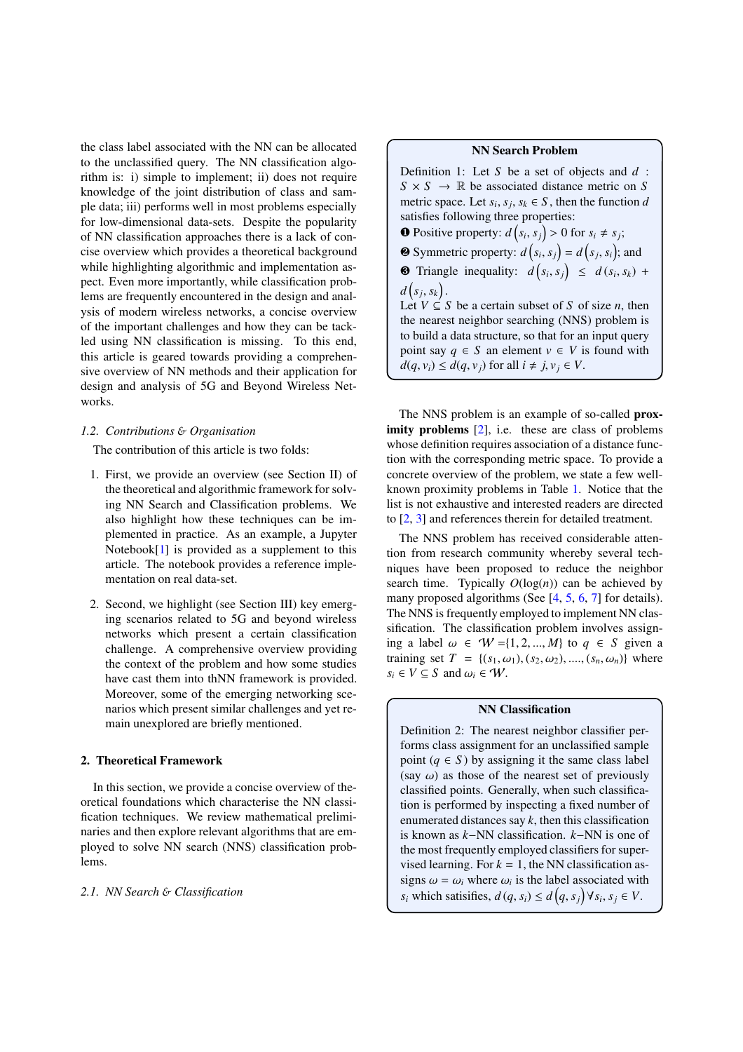the class label associated with the NN can be allocated to the unclassified query. The NN classification algorithm is: i) simple to implement; ii) does not require knowledge of the joint distribution of class and sample data; iii) performs well in most problems especially for low-dimensional data-sets. Despite the popularity of NN classification approaches there is a lack of concise overview which provides a theoretical background while highlighting algorithmic and implementation aspect. Even more importantly, while classification problems are frequently encountered in the design and analysis of modern wireless networks, a concise overview of the important challenges and how they can be tackled using NN classification is missing. To this end, this article is geared towards providing a comprehensive overview of NN methods and their application for design and analysis of 5G and Beyond Wireless Networks.

### <span id="page-1-0"></span>*1.2. Contributions* & *Organisation*

The contribution of this article is two folds:

- 1. First, we provide an overview (see Section II) of the theoretical and algorithmic framework for solving NN Search and Classification problems. We also highlight how these techniques can be implemented in practice. As an example, a Jupyter Notebook[\[1](#page-6-4)] is provided as a supplement to this article. The notebook provides a reference implementation on real data-set.
- 2. Second, we highlight (see Section III) key emerging scenarios related to 5G and beyond wireless networks which present a certain classification challenge. A comprehensive overview providing the context of the problem and how some studies have cast them into thNN framework is provided. Moreover, some of the emerging networking scenarios which present similar challenges and yet remain unexplored are briefly mentioned.

### <span id="page-1-1"></span>2. Theoretical Framework

In this section, we provide a concise overview of theoretical foundations which characterise the NN classification techniques. We review mathematical preliminaries and then explore relevant algorithms that are employed to solve NN search (NNS) classification problems.

### <span id="page-1-2"></span>*2.1. NN Search* & *Classification*

#### NN Search Problem

Definition 1: Let *S* be a set of objects and *d* :  $S \times S \rightarrow \mathbb{R}$  be associated distance metric on *S* metric space. Let  $s_i$ ,  $s_j$ ,  $s_k \in S$ , then the function *d* satisfies following three properties: **O** Positive property:  $d(s_i, s_j) > 0$  for  $s_i \neq s_j$ ; **2** Symmetric property:  $d(s_i, s_j) = d(s_j, s_i)$ ; and **8** Triangle inequality:  $d(s_i, s_j) \leq d(s_i, s_k) +$  $d(s_j, s_k)$ . Let  $V \subseteq S$  be a certain subset of *S* of size *n*, then the nearest neighbor searching (NNS) problem is to build a data structure, so that for an input query point say  $q \in S$  an element  $v \in V$  is found with  $d(q, v_i) \leq d(q, v_i)$  for all  $i \neq j, v_i \in V$ .

The NNS problem is an example of so-called prox-imity problems [\[2\]](#page-6-5), i.e. these are class of problems whose definition requires association of a distance function with the corresponding metric space. To provide a concrete overview of the problem, we state a few wellknown proximity problems in Table [1.](#page-2-2) Notice that the list is not exhaustive and interested readers are directed to [\[2](#page-6-5), [3](#page-6-6)] and references therein for detailed treatment.

The NNS problem has received considerable attention from research community whereby several techniques have been proposed to reduce the neighbor search time. Typically  $O(log(n))$  can be achieved by many proposed algorithms (See  $[4, 5, 6, 7]$  $[4, 5, 6, 7]$  $[4, 5, 6, 7]$  $[4, 5, 6, 7]$  $[4, 5, 6, 7]$  $[4, 5, 6, 7]$  $[4, 5, 6, 7]$  for details). The NNS is frequently employed to implement NN classification. The classification problem involves assigning a label  $\omega \in W = \{1, 2, ..., M\}$  to  $q \in S$  given a training set  $T = \{(s_1, \omega_1), (s_2, \omega_2), ..., (s_n, \omega_n)\}\$  where  $s_i \in V \subseteq S$  and  $\omega_i \in W$ .

#### NN Classification

Definition 2: The nearest neighbor classifier performs class assignment for an unclassified sample point  $(q \in S)$  by assigning it the same class label (say  $\omega$ ) as those of the nearest set of previously classified points. Generally, when such classification is performed by inspecting a fixed number of enumerated distances say  $k$ , then this classification is known as *k*−NN classification. *k*−NN is one of the most frequently employed classifiers for supervised learning. For  $k = 1$ , the NN classification assigns  $\omega = \omega_i$  where  $\omega_i$  is the label associated with  $s_i$  which satisifies,  $d(q, s_i) \leq d(q, s_j) \forall s_i, s_j \in V$ .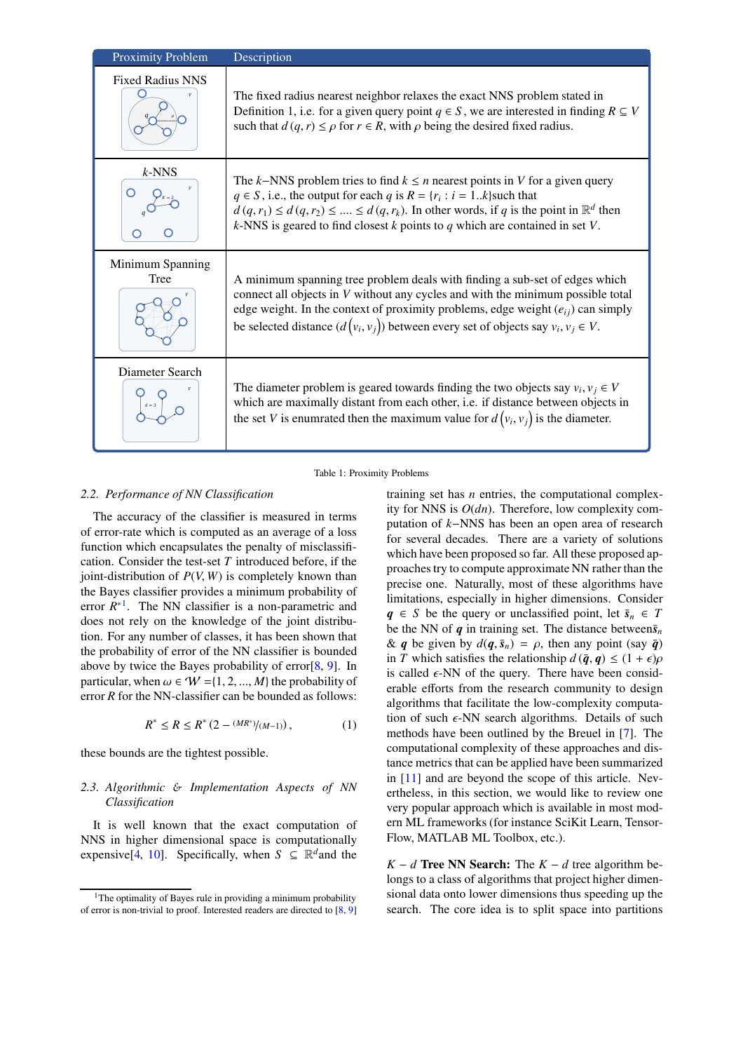| <b>Proximity Problem</b> | Description                                                                                                                                                                                                                                                                                                                                                                  |
|--------------------------|------------------------------------------------------------------------------------------------------------------------------------------------------------------------------------------------------------------------------------------------------------------------------------------------------------------------------------------------------------------------------|
| <b>Fixed Radius NNS</b>  | The fixed radius nearest neighbor relaxes the exact NNS problem stated in<br>Definition 1, i.e. for a given query point $q \in S$ , we are interested in finding $R \subseteq V$<br>such that $d(q, r) \le \rho$ for $r \in R$ , with $\rho$ being the desired fixed radius.                                                                                                 |
| $k$ -NNS                 | The k–NNS problem tries to find $k \leq n$ nearest points in V for a given query<br>$q \in S$ , i.e., the output for each q is $R = \{r_i : i = 1k\}$ such that<br>$d(q, r_1) \leq d(q, r_2) \leq \ldots \leq d(q, r_k)$ . In other words, if q is the point in $\mathbb{R}^d$ then<br>$k$ -NNS is geared to find closest $k$ points to $q$ which are contained in set $V$ . |
| Minimum Spanning<br>Tree | A minimum spanning tree problem deals with finding a sub-set of edges which<br>connect all objects in V without any cycles and with the minimum possible total<br>edge weight. In the context of proximity problems, edge weight $(e_{ij})$ can simply<br>be selected distance $(d(v_i, v_j))$ between every set of objects say $v_i, v_j \in V$ .                           |
| Diameter Search          | The diameter problem is geared towards finding the two objects say $v_i$ , $v_j \in V$<br>which are maximally distant from each other, i.e. if distance between objects in<br>the set V is enumrated then the maximum value for $d(v_i, v_j)$ is the diameter.                                                                                                               |

<span id="page-2-2"></span>Table 1: Proximity Problems

### <span id="page-2-0"></span>*2.2. Performance of NN Classification*

The accuracy of the classifier is measured in terms of error-rate which is computed as an average of a loss function which encapsulates the penalty of misclassification. Consider the test-set *T* introduced before, if the joint-distribution of *P*(*V*, *W*) is completely known than the Bayes classifier provides a minimum probability of error  $R^*$ <sup>[1](#page-2-3)</sup>. The NN classifier is a non-parametric and does not rely on the knowledge of the joint distribution. For any number of classes, it has been shown that the probability of error of the NN classifier is bounded above by twice the Bayes probability of error[\[8,](#page-6-11) [9](#page-6-12)]. In particular, when  $\omega \in W = \{1, 2, ..., M\}$  the probability of error *R* for the NN-classifier can be bounded as follows:

$$
R^* \le R \le R^* \left(2 - \frac{(MR^*)}{(M-1)}\right),\tag{1}
$$

these bounds are the tightest possible.

### <span id="page-2-1"></span>*2.3. Algorithmic* & *Implementation Aspects of NN Classification*

It is well known that the exact computation of NNS in higher dimensional space is computationally expensive<sup>[\[4,](#page-6-7) 10]. Specifically, when  $S \subseteq \mathbb{R}^d$  and the</sup>

training set has *n* entries, the computational complexity for NNS is *O*(*dn*). Therefore, low complexity computation of *k*−NNS has been an open area of research for several decades. There are a variety of solutions which have been proposed so far. All these proposed approaches try to compute approximate NN rather than the precise one. Naturally, most of these algorithms have limitations, especially in higher dimensions. Consider  $q \in S$  be the query or unclassified point, let  $\bar{s}_n \in T$ be the NN of  $q$  in training set. The distance between $\bar{s}_n$ & *q* be given by  $d(\mathbf{q}, \bar{s}_n) = \rho$ , then any point (say  $\bar{\mathbf{q}}$ ) in *T* which satisfies the relationship  $d(\bar{q}, q) \leq (1 + \epsilon)\rho$ is called  $\epsilon$ -NN of the query. There have been considerable efforts from the research community to design algorithms that facilitate the low-complexity computation of such  $\epsilon$ -NN search algorithms. Details of such methods have been outlined by the Breuel in [\[7](#page-6-10)]. The computational complexity of these approaches and distance metrics that can be applied have been summarized in [\[11](#page-6-13)] and are beyond the scope of this article. Nevertheless, in this section, we would like to review one very popular approach which is available in most modern ML frameworks (for instance SciKit Learn, Tensor-Flow, MATLAB ML Toolbox, etc.).

*K* − *d* **Tree NN Search:** The  $K - d$  tree algorithm belongs to a class of algorithms that project higher dimensional data onto lower dimensions thus speeding up the search. The core idea is to split space into partitions

<span id="page-2-3"></span><sup>&</sup>lt;sup>1</sup>The optimality of Bayes rule in providing a minimum probability of error is non-trivial to proof. Interested readers are directed to [\[8](#page-6-11), [9](#page-6-12)]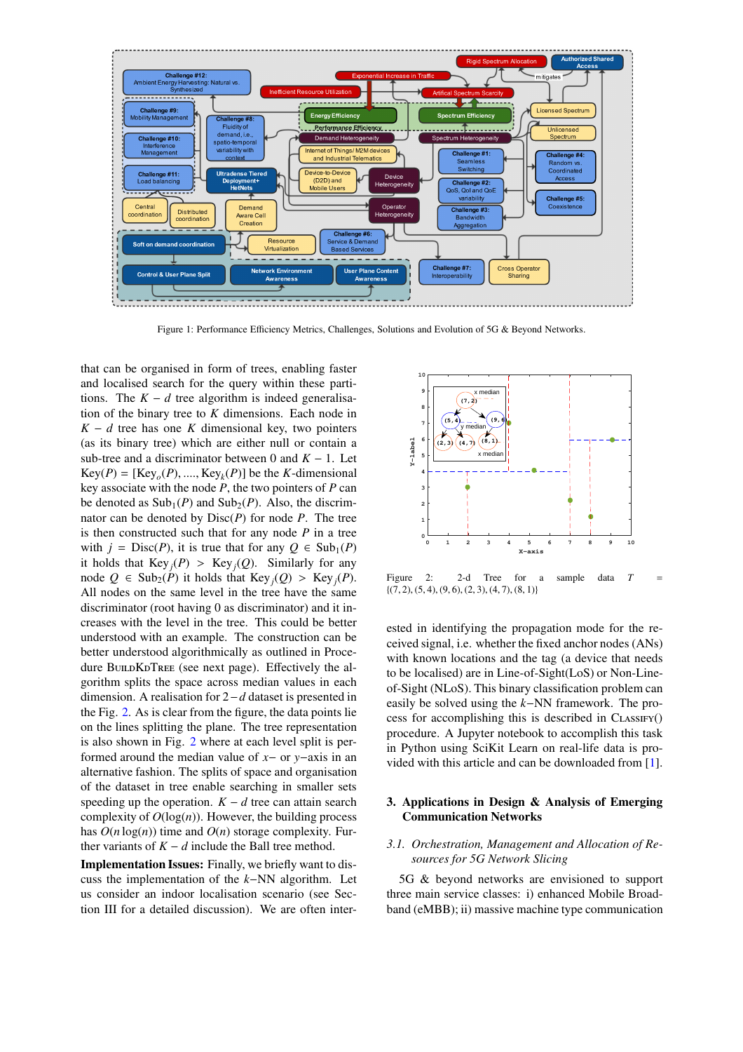

<span id="page-3-3"></span>Figure 1: Performance Efficiency Metrics, Challenges, Solutions and Evolution of 5G & Beyond Networks.

that can be organised in form of trees, enabling faster and localised search for the query within these partitions. The  $K - d$  tree algorithm is indeed generalisation of the binary tree to *K* dimensions. Each node in  $K - d$  tree has one *K* dimensional key, two pointers (as its binary tree) which are either null or contain a sub-tree and a discriminator between 0 and  $K - 1$ . Let  $Key(P) = [Key<sub>o</sub>(P), \dots, Key<sub>k</sub>(P)]$  be the *K*-dimensional key associate with the node *P*, the two pointers of *P* can be denoted as  $\text{Sub}_1(P)$  and  $\text{Sub}_2(P)$ . Also, the discrimnator can be denoted by Disc(*P*) for node *P*. The tree is then constructed such that for any node *P* in a tree with  $j = Disc(P)$ , it is true that for any  $Q \in Sub_1(P)$ it holds that  $Key_j(P) > Key_j(Q)$ . Similarly for any node *Q* ∈ Sub<sub>2</sub>(*P*) it holds that Key<sub>*j*</sub>(*Q*) > Key<sub>*j*</sub>(*P*). All nodes on the same level in the tree have the same discriminator (root having 0 as discriminator) and it increases with the level in the tree. This could be better understood with an example. The construction can be better understood algorithmically as outlined in Procedure BUILDKDTREE (see next page). Effectively the algorithm splits the space across median values in each dimension. A realisation for 2−*d* dataset is presented in the Fig. [2.](#page-3-2) As is clear from the figure, the data points lie on the lines splitting the plane. The tree representation is also shown in Fig. [2](#page-3-2) where at each level split is performed around the median value of *x*− or *y*−axis in an alternative fashion. The splits of space and organisation of the dataset in tree enable searching in smaller sets speeding up the operation.  $K - d$  tree can attain search complexity of  $O(log(n))$ . However, the building process has  $O(n \log(n))$  time and  $O(n)$  storage complexity. Further variants of  $K - d$  include the Ball tree method.

Implementation Issues: Finally, we briefly want to discuss the implementation of the *k*−NN algorithm. Let us consider an indoor localisation scenario (see Section III for a detailed discussion). We are often inter-



<span id="page-3-2"></span>Figure 2: 2-d Tree for a sample data  $T =$  $\{(7, 2), (5, 4), (9, 6), (2, 3), (4, 7), (8, 1)\}$ 

ested in identifying the propagation mode for the received signal, i.e. whether the fixed anchor nodes (ANs) with known locations and the tag (a device that needs to be localised) are in Line-of-Sight(LoS) or Non-Lineof-Sight (NLoS). This binary classification problem can easily be solved using the *k*−NN framework. The process for accomplishing this is described in  $CLASIFY()$ procedure. A Jupyter notebook to accomplish this task in Python using SciKit Learn on real-life data is provided with this article and can be downloaded from [\[1\]](#page-6-4).

# <span id="page-3-0"></span>3. Applications in Design & Analysis of Emerging Communication Networks

# <span id="page-3-1"></span>*3.1. Orchestration, Management and Allocation of Resources for 5G Network Slicing*

5G & beyond networks are envisioned to support three main service classes: i) enhanced Mobile Broadband (eMBB); ii) massive machine type communication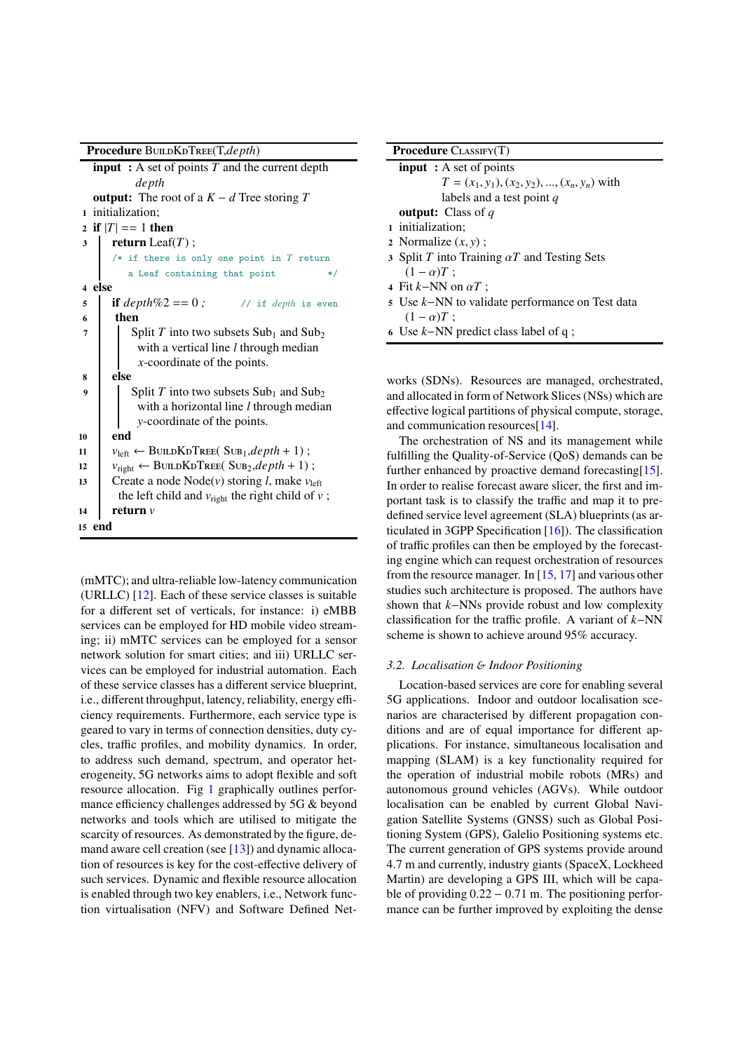| <b>Procedure BUILDKDTREE(T,depth)</b> |
|---------------------------------------|
|---------------------------------------|

|    | <b>input</b> : A set of points $T$ and the current depth                        |
|----|---------------------------------------------------------------------------------|
|    | depth                                                                           |
|    | <b>output:</b> The root of a $K - d$ Tree storing T                             |
|    | 1 initialization:                                                               |
|    | 2 if $ T  == 1$ then                                                            |
| 3  | <b>return</b> Leaf $(T)$ ;                                                      |
|    | /* if there is only one point in $T$ return                                     |
|    | a Leaf containing that point<br>$\ast/$                                         |
|    | 4 else                                                                          |
| 5  | <b>if</b> $depth\%2 == 0$ ;<br>// if <i>depth</i> is even                       |
| 6  | then                                                                            |
| 7  | Split T into two subsets $Sub_1$ and $Sub_2$                                    |
|    | with a vertical line $l$ through median                                         |
|    | $x$ -coordinate of the points.                                                  |
| 8  | else                                                                            |
| 9  | Split T into two subsets $Sub_1$ and $Sub_2$                                    |
|    | with a horizontal line $l$ through median                                       |
|    | y-coordinate of the points.                                                     |
| 10 | end                                                                             |
| 11 | $v_{\text{left}} \leftarrow \text{BULLKDTree}(\text{SUB}_1, depth + 1);$        |
| 12 | $v_{\text{right}} \leftarrow \text{BULDKDTree}$ (Sub <sub>2</sub> , depth + 1); |
| 13 | Create a node Node(v) storing <i>l</i> , make $v_{\text{left}}$                 |
|    | the left child and $v_{\text{right}}$ the right child of v;                     |
| 14 | return $v$                                                                      |
|    | 15 end                                                                          |
|    |                                                                                 |

(mMTC); and ultra-reliable low-latency communication (URLLC) [\[12\]](#page-6-14). Each of these service classes is suitable for a different set of verticals, for instance: i) eMBB services can be employed for HD mobile video streaming; ii) mMTC services can be employed for a sensor network solution for smart cities; and iii) URLLC services can be employed for industrial automation. Each of these service classes has a different service blueprint, i.e., different throughput, latency, reliability, energy efficiency requirements. Furthermore, each service type is geared to vary in terms of connection densities, duty cycles, traffic profiles, and mobility dynamics. In order, to address such demand, spectrum, and operator heterogeneity, 5G networks aims to adopt flexible and soft resource allocation. Fig [1](#page-3-3) graphically outlines performance efficiency challenges addressed by 5G & beyond networks and tools which are utilised to mitigate the scarcity of resources. As demonstrated by the figure, demand aware cell creation (see  $[13]$ ) and dynamic allocation of resources is key for the cost-effective delivery of such services. Dynamic and flexible resource allocation is enabled through two key enablers, i.e., Network function virtualisation (NFV) and Software Defined Net-

| <b>Procedure</b> CLASSIFY(T) |                                                     |  |  |  |
|------------------------------|-----------------------------------------------------|--|--|--|
|                              | <b>input</b> : A set of points                      |  |  |  |
|                              | $T = (x_1, y_1), (x_2, y_2), , (x_n, y_n)$ with     |  |  |  |
|                              | labels and a test point q                           |  |  |  |
|                              | <b>output:</b> Class of $q$                         |  |  |  |
|                              | 1 initialization;                                   |  |  |  |
|                              | 2 Normalize $(x, y)$ ;                              |  |  |  |
|                              | 3 Split T into Training $\alpha T$ and Testing Sets |  |  |  |
|                              | $(1-\alpha)T$ ;                                     |  |  |  |
|                              | 4 Fit k–NN on $\alpha T$ :                          |  |  |  |
|                              | 5 Use k–NN to validate performance on Test data     |  |  |  |
|                              | $(1-\alpha)T$ ;                                     |  |  |  |
|                              | 6 Use $k$ -NN predict class label of q;             |  |  |  |
|                              |                                                     |  |  |  |

works (SDNs). Resources are managed, orchestrated, and allocated in form of Network Slices (NSs) which are effective logical partitions of physical compute, storage, and communication resources[\[14\]](#page-7-0).

The orchestration of NS and its management while fulfilling the Quality-of-Service (QoS) demands can be further enhanced by proactive demand forecasting[\[15](#page-7-1)]. In order to realise forecast aware slicer, the first and important task is to classify the traffic and map it to predefined service level agreement (SLA) blueprints (as articulated in 3GPP Specification [\[16\]](#page-7-2)). The classification of traffic profiles can then be employed by the forecasting engine which can request orchestration of resources from the resource manager. In [\[15,](#page-7-1) [17\]](#page-7-3) and various other studies such architecture is proposed. The authors have shown that *k*−NNs provide robust and low complexity classification for the traffic profile. A variant of *k*−NN scheme is shown to achieve around 95% accuracy.

### <span id="page-4-0"></span>*3.2. Localisation* & *Indoor Positioning*

Location-based services are core for enabling several 5G applications. Indoor and outdoor localisation scenarios are characterised by different propagation conditions and are of equal importance for different applications. For instance, simultaneous localisation and mapping (SLAM) is a key functionality required for the operation of industrial mobile robots (MRs) and autonomous ground vehicles (AGVs). While outdoor localisation can be enabled by current Global Navigation Satellite Systems (GNSS) such as Global Positioning System (GPS), Galelio Positioning systems etc. The current generation of GPS systems provide around 4.7 m and currently, industry giants (SpaceX, Lockheed Martin) are developing a GPS III, which will be capable of providing  $0.22 - 0.71$  m. The positioning performance can be further improved by exploiting the dense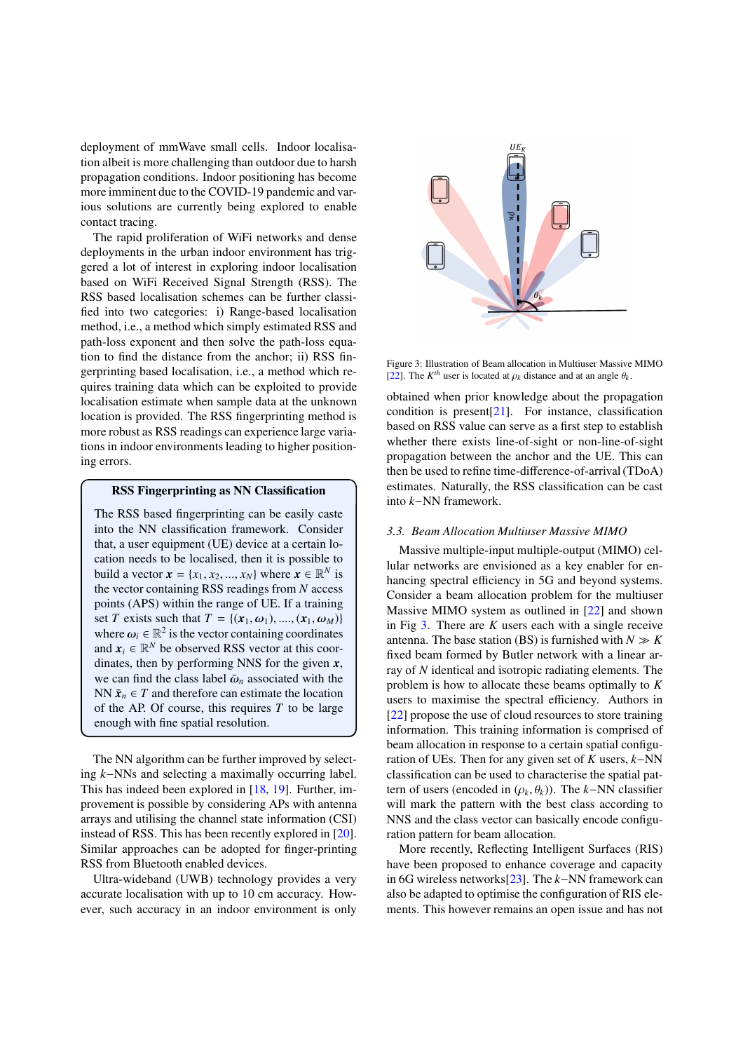deployment of mmWave small cells. Indoor localisation albeit is more challenging than outdoor due to harsh propagation conditions. Indoor positioning has become more imminent due to the COVID-19 pandemic and various solutions are currently being explored to enable contact tracing.

The rapid proliferation of WiFi networks and dense deployments in the urban indoor environment has triggered a lot of interest in exploring indoor localisation based on WiFi Received Signal Strength (RSS). The RSS based localisation schemes can be further classified into two categories: i) Range-based localisation method, i.e., a method which simply estimated RSS and path-loss exponent and then solve the path-loss equation to find the distance from the anchor; ii) RSS fingerprinting based localisation, i.e., a method which requires training data which can be exploited to provide localisation estimate when sample data at the unknown location is provided. The RSS fingerprinting method is more robust as RSS readings can experience large variations in indoor environments leading to higher positioning errors.

#### RSS Fingerprinting as NN Classification

The RSS based fingerprinting can be easily caste into the NN classification framework. Consider that, a user equipment (UE) device at a certain location needs to be localised, then it is possible to build a vector  $\mathbf{x} = \{x_1, x_2, ..., x_N\}$  where  $\mathbf{x} \in \mathbb{R}^N$  is the vector containing RSS readings from *N* access points (APS) within the range of UE. If a training set *T* exists such that  $T = \{ (x_1, \omega_1), ..., (x_1, \omega_M) \}$ where  $\omega_i \in \mathbb{R}^2$  is the vector containing coordinates and  $x_i \in \mathbb{R}^N$  be observed RSS vector at this coordinates, then by performing NNS for the given *x*, we can find the class label  $\bar{\omega}_n$  associated with the NN  $\bar{x}_n \in T$  and therefore can estimate the location of the AP. Of course, this requires *T* to be large enough with fine spatial resolution.

The NN algorithm can be further improved by selecting *k*−NNs and selecting a maximally occurring label. This has indeed been explored in [\[18,](#page-7-4) [19](#page-7-5)]. Further, improvement is possible by considering APs with antenna arrays and utilising the channel state information (CSI) instead of RSS. This has been recently explored in [\[20\]](#page-7-6). Similar approaches can be adopted for finger-printing RSS from Bluetooth enabled devices.

Ultra-wideband (UWB) technology provides a very accurate localisation with up to 10 cm accuracy. However, such accuracy in an indoor environment is only



<span id="page-5-1"></span>Figure 3: Illustration of Beam allocation in Multiuser Massive MIMO [\[22](#page-7-7)]. The  $K^{th}$  user is located at  $\rho_k$  distance and at an angle  $\theta_k$ .

obtained when prior knowledge about the propagation condition is present $[21]$  $[21]$ . For instance, classification based on RSS value can serve as a first step to establish whether there exists line-of-sight or non-line-of-sight propagation between the anchor and the UE. This can then be used to refine time-difference-of-arrival (TDoA) estimates. Naturally, the RSS classification can be cast into *k*−NN framework.

#### <span id="page-5-0"></span>*3.3. Beam Allocation Multiuser Massive MIMO*

Massive multiple-input multiple-output (MIMO) cellular networks are envisioned as a key enabler for enhancing spectral efficiency in 5G and beyond systems. Consider a beam allocation problem for the multiuser Massive MIMO system as outlined in [\[22\]](#page-7-7) and shown in Fig [3.](#page-5-1) There are *K* users each with a single receive antenna. The base station (BS) is furnished with  $N \gg K$ fixed beam formed by Butler network with a linear array of *N* identical and isotropic radiating elements. The problem is how to allocate these beams optimally to *K* users to maximise the spectral efficiency. Authors in [\[22\]](#page-7-7) propose the use of cloud resources to store training information. This training information is comprised of beam allocation in response to a certain spatial configuration of UEs. Then for any given set of *K* users, *k*−NN classification can be used to characterise the spatial pattern of users (encoded in  $(\rho_k, \theta_k)$ ). The *k*−NN classifier will mark the pattern with the best class according to NNS and the class vector can basically encode configuration pattern for beam allocation.

More recently, Reflecting Intelligent Surfaces (RIS) have been proposed to enhance coverage and capacity in 6G wireless networks[\[23\]](#page-7-9). The *k*−NN framework can also be adapted to optimise the configuration of RIS elements. This however remains an open issue and has not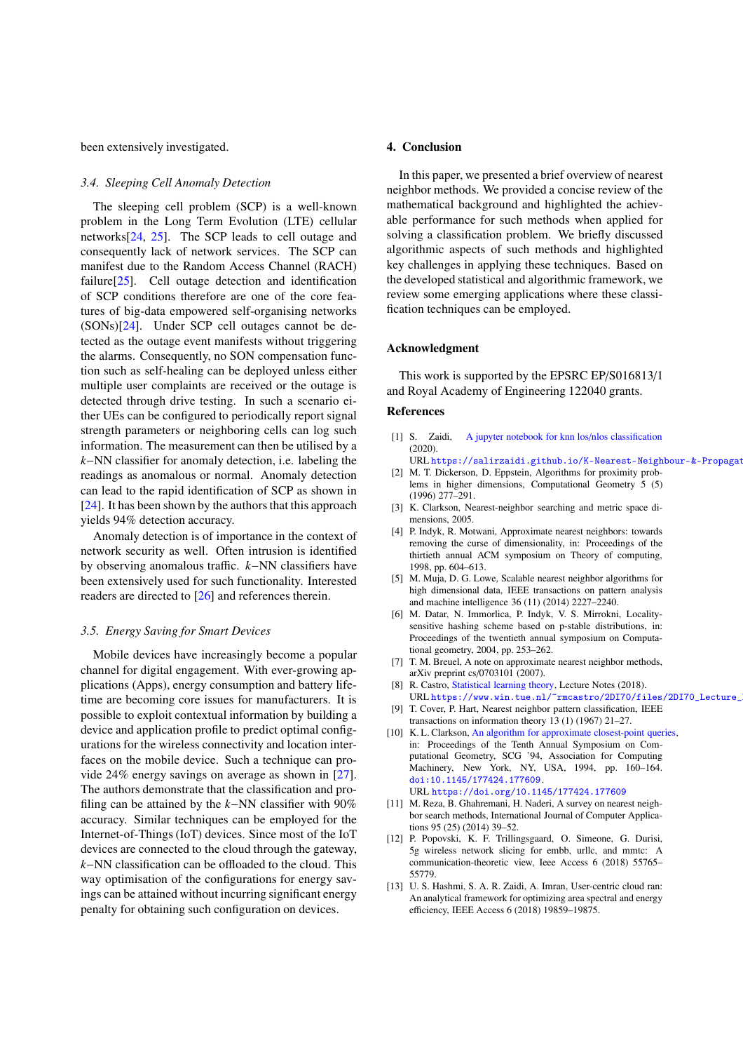been extensively investigated.

#### <span id="page-6-0"></span>*3.4. Sleeping Cell Anomaly Detection*

The sleeping cell problem (SCP) is a well-known problem in the Long Term Evolution (LTE) cellular networks[\[24,](#page-7-10) [25\]](#page-7-11). The SCP leads to cell outage and consequently lack of network services. The SCP can manifest due to the Random Access Channel (RACH) failure[\[25\]](#page-7-11). Cell outage detection and identification of SCP conditions therefore are one of the core features of big-data empowered self-organising networks (SONs)[\[24](#page-7-10)]. Under SCP cell outages cannot be detected as the outage event manifests without triggering the alarms. Consequently, no SON compensation function such as self-healing can be deployed unless either multiple user complaints are received or the outage is detected through drive testing. In such a scenario either UEs can be configured to periodically report signal strength parameters or neighboring cells can log such information. The measurement can then be utilised by a *k*−NN classifier for anomaly detection, i.e. labeling the readings as anomalous or normal. Anomaly detection can lead to the rapid identification of SCP as shown in [\[24\]](#page-7-10). It has been shown by the authors that this approach yields 94% detection accuracy.

Anomaly detection is of importance in the context of network security as well. Often intrusion is identified by observing anomalous traffic. *k*−NN classifiers have been extensively used for such functionality. Interested readers are directed to [\[26\]](#page-7-12) and references therein.

#### <span id="page-6-1"></span>*3.5. Energy Saving for Smart Devices*

Mobile devices have increasingly become a popular channel for digital engagement. With ever-growing applications (Apps), energy consumption and battery lifetime are becoming core issues for manufacturers. It is possible to exploit contextual information by building a device and application profile to predict optimal configurations for the wireless connectivity and location interfaces on the mobile device. Such a technique can provide 24% energy savings on average as shown in [\[27\]](#page-7-13). The authors demonstrate that the classification and profiling can be attained by the *k*−NN classifier with 90% accuracy. Similar techniques can be employed for the Internet-of-Things (IoT) devices. Since most of the IoT devices are connected to the cloud through the gateway, *k*−NN classification can be offloaded to the cloud. This way optimisation of the configurations for energy savings can be attained without incurring significant energy penalty for obtaining such configuration on devices.

### <span id="page-6-2"></span>4. Conclusion

In this paper, we presented a brief overview of nearest neighbor methods. We provided a concise review of the mathematical background and highlighted the achievable performance for such methods when applied for solving a classification problem. We briefly discussed algorithmic aspects of such methods and highlighted key challenges in applying these techniques. Based on the developed statistical and algorithmic framework, we review some emerging applications where these classification techniques can be employed.

#### <span id="page-6-3"></span>Acknowledgment

This work is supported by the EPSRC EP/S016813/1 and Royal Academy of Engineering 122040 grants.

#### References

- <span id="page-6-4"></span>[1] S. Zaidi, [A jupyter notebook for knn los](https://salirzaidi.github.io/K-Nearest-Neighbour-&-Propagation-Mode-Classification/)/nlos classification (2020).
- URL https://salirzaidi.github.io/K-Nearest-Neighbour-&-Propagat [2] M. T. Dickerson, D. Eppstein, Algorithms for proximity prob-
- <span id="page-6-5"></span>lems in higher dimensions, Computational Geometry 5 (5) (1996) 277–291.
- <span id="page-6-6"></span>[3] K. Clarkson, Nearest-neighbor searching and metric space dimensions, 2005.
- <span id="page-6-7"></span>[4] P. Indyk, R. Motwani, Approximate nearest neighbors: towards removing the curse of dimensionality, in: Proceedings of the thirtieth annual ACM symposium on Theory of computing, 1998, pp. 604–613.
- <span id="page-6-8"></span>[5] M. Muja, D. G. Lowe, Scalable nearest neighbor algorithms for high dimensional data, IEEE transactions on pattern analysis and machine intelligence 36 (11) (2014) 2227–2240.
- <span id="page-6-9"></span>[6] M. Datar, N. Immorlica, P. Indyk, V. S. Mirrokni, Localitysensitive hashing scheme based on p-stable distributions, in: Proceedings of the twentieth annual symposium on Computational geometry, 2004, pp. 253–262.
- <span id="page-6-10"></span>[7] T. M. Breuel, A note on approximate nearest neighbor methods, arXiv preprint cs/0703101 (2007).
- <span id="page-6-11"></span>[8] R. Castro, [Statistical learning theory,](https://www.win.tue.nl/~rmcastro/2DI70/files/2DI70_Lecture_Notes.pdf) Lecture Notes (2018). URL https://www.win.tue.nl/~rmcastro/2DI70/files/2DI70\_Lecture\_
- <span id="page-6-12"></span>[9] T. Cover, P. Hart, Nearest neighbor pattern classification, IEEE transactions on information theory 13 (1) (1967) 21–27.
- [10] K. L. Clarkson, [An algorithm for approximate closest-point queries,](https://doi.org/10.1145/177424.177609) in: Proceedings of the Tenth Annual Symposium on Computational Geometry, SCG '94, Association for Computing Machinery, New York, NY, USA, 1994, pp. 160–164. [doi:10.1145/177424.177609](https://doi.org/10.1145/177424.177609). URL <https://doi.org/10.1145/177424.177609>
- <span id="page-6-13"></span>[11] M. Reza, B. Ghahremani, H. Naderi, A survey on nearest neighbor search methods, International Journal of Computer Applications 95 (25) (2014) 39–52.
- <span id="page-6-14"></span>[12] P. Popovski, K. F. Trillingsgaard, O. Simeone, G. Durisi, 5g wireless network slicing for embb, urllc, and mmtc: A communication-theoretic view, Ieee Access 6 (2018) 55765– 55779.
- <span id="page-6-15"></span>[13] U. S. Hashmi, S. A. R. Zaidi, A. Imran, User-centric cloud ran: An analytical framework for optimizing area spectral and energy efficiency, IEEE Access 6 (2018) 19859–19875.